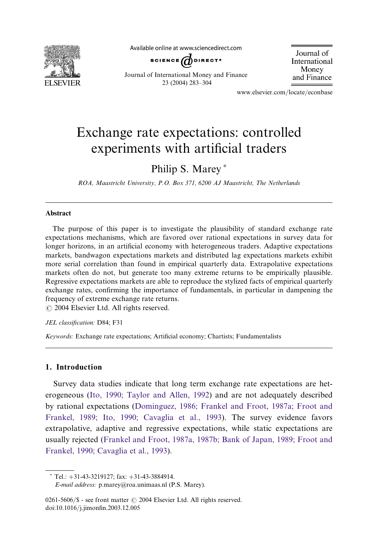

Available online at www.sciencedirect.com



Journal of International Money and Finance

Journal of International Money and Finance 23 (2004) 283–304

www.elsevier.com/locate/econbase

## Exchange rate expectations: controlled experiments with artificial traders

### Philip S. Marey<sup>\*</sup>

ROA, Maastricht University, P.O. Box 371, 6200 AJ Maastricht, The Netherlands

#### Abstract

The purpose of this paper is to investigate the plausibility of standard exchange rate expectations mechanisms, which are favored over rational expectations in survey data for longer horizons, in an artificial economy with heterogeneous traders. Adaptive expectations markets, bandwagon expectations markets and distributed lag expectations markets exhibit more serial correlation than found in empirical quarterly data. Extrapolative expectations markets often do not, but generate too many extreme returns to be empirically plausible. Regressive expectations markets are able to reproduce the stylized facts of empirical quarterly exchange rates, confirming the importance of fundamentals, in particular in dampening the frequency of extreme exchange rate returns.

 $\odot$  2004 Elsevier Ltd. All rights reserved.

#### JEL classification: D84; F31

Keywords: Exchange rate expectations; Artificial economy; Chartists; Fundamentalists

### 1. Introduction

Survey data studies indicate that long term exchange rate expectations are heterogeneous ([Ito, 1990; Taylor and Allen, 1992](#page--1-0)) and are not adequately described by rational expectations [\(Dominguez, 1986; Frankel and Froot, 1987a; Froot and](#page--1-0) [Frankel, 1989; Ito, 1990; Cavaglia et al., 1993\)](#page--1-0). The survey evidence favors extrapolative, adaptive and regressive expectations, while static expectations are usually rejected [\(Frankel and Froot, 1987a, 1987b; Bank of Japan, 1989; Froot and](#page--1-0) [Frankel, 1990; Cavaglia et al., 1993\)](#page--1-0).

 $*$  Tel.:  $+31-43-3219127$ ; fax:  $+31-43-3884914$ .

E-mailaddress: p.marey@roa.unimaas.nl (P.S. Marey).

<sup>0261-5606/</sup> $\$  - see front matter  $\odot$  2004 Elsevier Ltd. All rights reserved. doi:10.1016/j.jimonfin.2003.12.005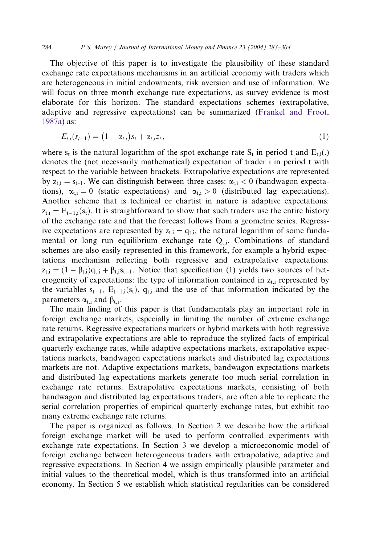The objective of this paper is to investigate the plausibility of these standard exchange rate expectations mechanisms in an artificial economy with traders which are heterogeneous in initial endowments, risk aversion and use of information. We will focus on three month exchange rate expectations, as survey evidence is most elaborate for this horizon. The standard expectations schemes (extrapolative, adaptive and regressive expectations) can be summarized [\(Frankel and Froot,](#page--1-0) [1987a](#page--1-0)) as:

$$
E_{t,i}(s_{t+1}) = (1 - \alpha_{t,i})s_t + \alpha_{t,i}z_{t,i}
$$
\n(1)

where  $s_t$  is the natural logarithm of the spot exchange rate  $S_t$  in period t and  $E_{t,i}(.)$ denotes the (not necessarily mathematical) expectation of trader i in period t with respect to the variable between brackets. Extrapolative expectations are represented by  $z_{t,i} = s_{t-1}$ . We can distinguish between three cases:  $\alpha_{t,i} < 0$  (bandwagon expectations),  $\alpha_{t,i} = 0$  (static expectations) and  $\alpha_{t,i} > 0$  (distributed lag expectations). Another scheme that is technical or chartist in nature is adaptive expectations:  $z_{t,i} = E_{t-1,i}(s_t)$ . It is straightforward to show that such traders use the entire history of the exchange rate and that the forecast follows from a geometric series. Regressive expectations are represented by  $z_{t,i} = q_{t,i}$ , the natural logarithm of some fundamental or long run equilibrium exchange rate  $Q_{t,i}$ . Combinations of standard schemes are also easily represented in this framework, for example a hybrid expectations mechanism reflecting both regressive and extrapolative expectations:  $z_{t,i} = (1 - \beta_{t,i})q_{t,i} + \beta_{t,i} s_{t-1}$ . Notice that specification (1) yields two sources of heterogeneity of expectations: the type of information contained in  $z_{t,i}$  represented by the variables  $s_{t-1}$ ,  $E_{t-1,i}(s_t)$ ,  $q_{t,i}$  and the use of that information indicated by the parameters  $\alpha_{t,i}$  and  $\beta_{t,i}$ .

The main finding of this paper is that fundamentals play an important role in foreign exchange markets, especially in limiting the number of extreme exchange rate returns. Regressive expectations markets or hybrid markets with both regressive and extrapolative expectations are able to reproduce the stylized facts of empirical quarterly exchange rates, while adaptive expectations markets, extrapolative expectations markets, bandwagon expectations markets and distributed lag expectations markets are not. Adaptive expectations markets, bandwagon expectations markets and distributed lag expectations markets generate too much serial correlation in exchange rate returns. Extrapolative expectations markets, consisting of both bandwagon and distributed lag expectations traders, are often able to replicate the serial correlation properties of empirical quarterly exchange rates, but exhibit too many extreme exchange rate returns.

The paper is organized as follows. In Section 2 we describe how the artificial foreign exchange market will be used to perform controlled experiments with exchange rate expectations. In Section 3 we develop a microeconomic model of foreign exchange between heterogeneous traders with extrapolative, adaptive and regressive expectations. In Section 4 we assign empirically plausible parameter and initial values to the theoretical model, which is thus transformed into an artificial economy. In Section 5 we establish which statistical regularities can be considered